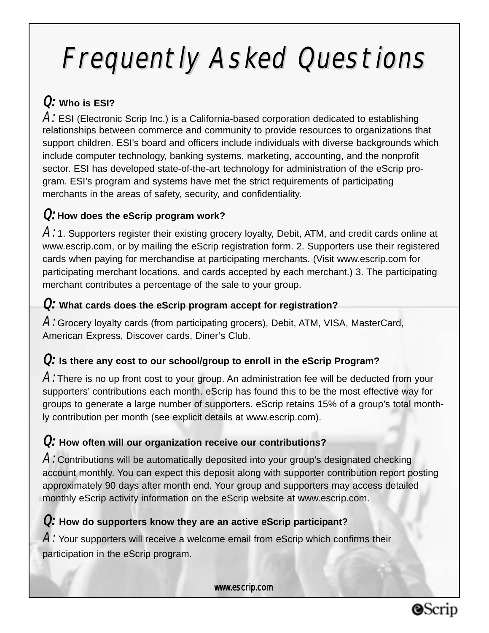# Frequently Asked Questions

### Q*:* **Who is ESI?**

A*:* ESI (Electronic Scrip Inc.) is a California-based corporation dedicated to establishing relationships between commerce and community to provide resources to organizations that support children. ESI's board and officers include individuals with diverse backgrounds which include computer technology, banking systems, marketing, accounting, and the nonprofit sector. ESI has developed state-of-the-art technology for administration of the eScrip program. ESI's program and systems have met the strict requirements of participating merchants in the areas of safety, security, and confidentiality.

### Q: **How does the eScrip program work?**

 $A$ : 1. Supporters register their existing grocery loyalty, Debit, ATM, and credit cards online at www.escrip.com, or by mailing the eScrip registration form. 2. Supporters use their registered cards when paying for merchandise at participating merchants. (Visit www.escrip.com for participating merchant locations, and cards accepted by each merchant.) 3. The participating merchant contributes a percentage of the sale to your group.

#### Q*:* **What cards does the eScrip program accept for registration?**

A: Grocery loyalty cards (from participating grocers), Debit, ATM, VISA, MasterCard, American Express, Discover cards, Diner's Club.

### Q*:* **Is there any cost to our school/group to enroll in the eScrip Program?**

 $A$ : There is no up front cost to your group. An administration fee will be deducted from your supporters' contributions each month. eScrip has found this to be the most effective way for groups to generate a large number of supporters. eScrip retains 15% of a group's total monthly contribution per month (see explicit details at www.escrip.com).

### Q*:* **How often will our organization receive our contributions?**

A: Contributions will be automatically deposited into your group's designated checking account monthly. You can expect this deposit along with supporter contribution report posting approximately 90 days after month end. Your group and supporters may access detailed monthly eScrip activity information on the eScrip website at www.escrip.com.

### Q*:* **How do supporters know they are an active eScrip participant?**

A: Your supporters will receive a welcome email from eScrip which confirms their participation in the eScrip program.

www.escrip.com